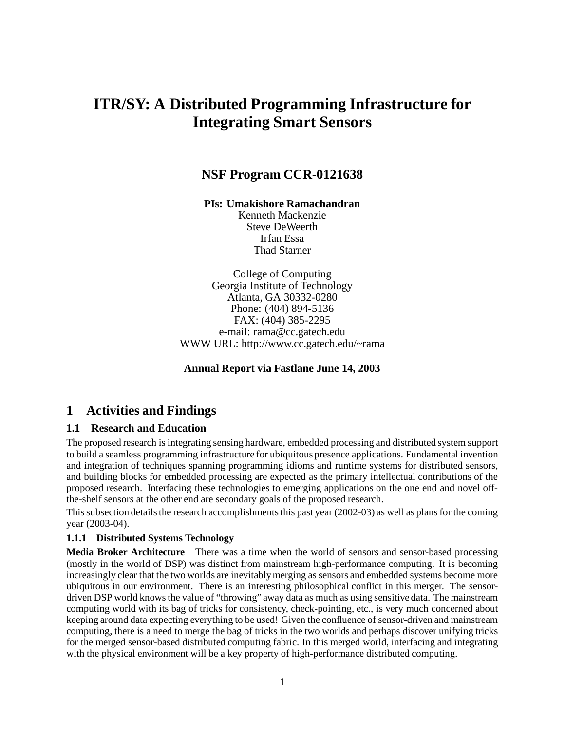# **ITR/SY: A Distributed Programming Infrastructure for Integrating Smart Sensors**

## **NSF Program CCR-0121638**

**PIs: Umakishore Ramachandran**

Kenneth Mackenzie Steve DeWeerth Irfan Essa Thad Starner

College of Computing Georgia Institute of Technology Atlanta, GA 30332-0280 Phone: (404) 894-5136 FAX: (404) 385-2295 e-mail: rama@cc.gatech.edu WWW URL: http://www.cc.gatech.edu/~rama

#### **Annual Report via Fastlane June 14, 2003**

### **1 Activities and Findings**

#### **1.1 Research and Education**

The proposed research is integrating sensing hardware, embedded processing and distributed system support to build a seamless programming infrastructure for ubiquitous presence applications. Fundamental invention and integration of techniques spanning programming idioms and runtime systems for distributed sensors, and building blocks for embedded processing are expected as the primary intellectual contributions of the proposed research. Interfacing these technologies to emerging applications on the one end and novel offthe-shelf sensors at the other end are secondary goals of the proposed research.

This subsection details the research accomplishments this past year (2002-03) as well as plans for the coming year (2003-04).

#### **1.1.1 Distributed Systems Technology**

**Media Broker Architecture** There was a time when the world of sensors and sensor-based processing (mostly in the world of DSP) was distinct from mainstream high-performance computing. It is becoming increasingly clear that the two worlds are inevitablymerging as sensors and embedded systems become more ubiquitous in our environment. There is an interesting philosophical conflict in this merger. The sensordriven DSP world knowsthe value of "throwing" away data as much as using sensitive data. The mainstream computing world with its bag of tricks for consistency, check-pointing, etc., is very much concerned about keeping around data expecting everything to be used! Given the confluence of sensor-driven and mainstream computing, there is a need to merge the bag of tricks in the two worlds and perhaps discover unifying tricks for the merged sensor-based distributed computing fabric. In this merged world, interfacing and integrating with the physical environment will be a key property of high-performance distributed computing.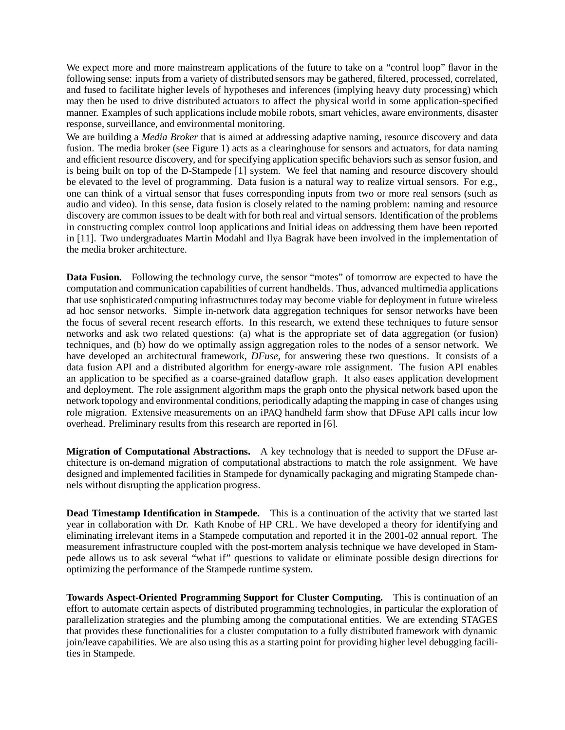We expect more and more mainstream applications of the future to take on a "control loop" flavor in the following sense: inputs from a variety of distributed sensors may be gathered, filtered, processed, correlated, and fused to facilitate higher levels of hypotheses and inferences (implying heavy duty processing) which may then be used to drive distributed actuators to affect the physical world in some application-specified manner. Examples of such applications include mobile robots, smart vehicles, aware environments, disaster response, surveillance, and environmental monitoring.

We are building a *Media Broker* that is aimed at addressing adaptive naming, resource discovery and data fusion. The media broker (see Figure 1) acts as a clearinghouse for sensors and actuators, for data naming and efficient resource discovery, and for specifying application specific behaviors such as sensor fusion, and is being built on top of the D-Stampede [1] system. We feel that naming and resource discovery should be elevated to the level of programming. Data fusion is a natural way to realize virtual sensors. For e.g., one can think of a virtual sensor that fuses corresponding inputs from two or more real sensors (such as audio and video). In this sense, data fusion is closely related to the naming problem: naming and resource discovery are common issues to be dealt with for both real and virtual sensors. Identification of the problems in constructing complex control loop applications and Initial ideas on addressing them have been reported in [11]. Two undergraduates Martin Modahl and Ilya Bagrak have been involved in the implementation of the media broker architecture.

**Data Fusion.** Following the technology curve, the sensor "motes" of tomorrow are expected to have the computation and communication capabilities of current handhelds. Thus, advanced multimedia applications that use sophisticated computing infrastructures today may become viable for deployment in future wireless ad hoc sensor networks. Simple in-network data aggregation techniques for sensor networks have been the focus of several recent research efforts. In this research, we extend these techniques to future sensor networks and ask two related questions: (a) what is the appropriate set of data aggregation (or fusion) techniques, and (b) how do we optimally assign aggregation roles to the nodes of a sensor network. We have developed an architectural framework, *DFuse*, for answering these two questions. It consists of a data fusion API and a distributed algorithm for energy-aware role assignment. The fusion API enables an application to be specified as a coarse-grained dataflow graph. It also eases application development and deployment. The role assignment algorithm maps the graph onto the physical network based upon the network topology and environmental conditions, periodically adapting the mapping in case of changes using role migration. Extensive measurements on an iPAQ handheld farm show that DFuse API calls incur low overhead. Preliminary results from this research are reported in [6].

**Migration of Computational Abstractions.** A key technology that is needed to support the DFuse architecture is on-demand migration of computational abstractions to match the role assignment. We have designed and implemented facilities in Stampede for dynamically packaging and migrating Stampede channels without disrupting the application progress.

**Dead Timestamp Identification in Stampede.** This is a continuation of the activity that we started last year in collaboration with Dr. Kath Knobe of HP CRL. We have developed a theory for identifying and eliminating irrelevant items in a Stampede computation and reported it in the 2001-02 annual report. The measurement infrastructure coupled with the post-mortem analysis technique we have developed in Stampede allows us to ask several "what if" questions to validate or eliminate possible design directions for optimizing the performance of the Stampede runtime system.

**Towards Aspect-Oriented Programming Support for Cluster Computing.** This is continuation of an effort to automate certain aspects of distributed programming technologies, in particular the exploration of parallelization strategies and the plumbing among the computational entities. We are extending STAGES that provides these functionalities for a cluster computation to a fully distributed framework with dynamic join/leave capabilities. We are also using this as a starting point for providing higher level debugging facilities in Stampede.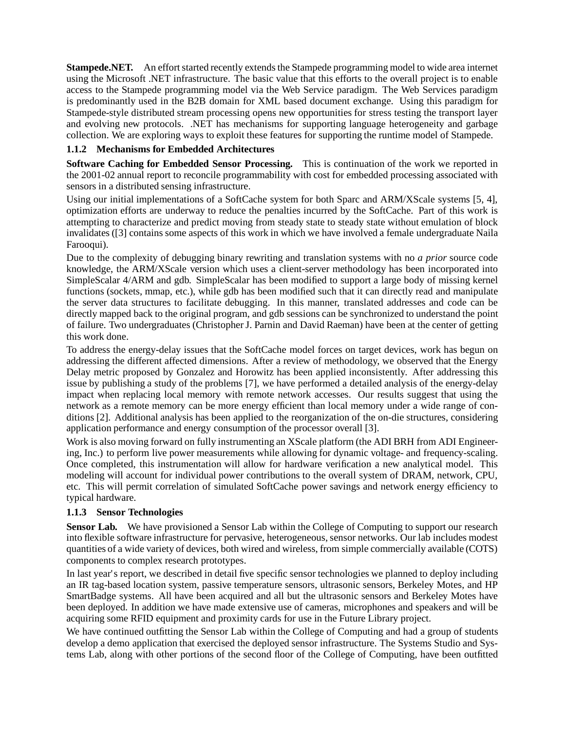**Stampede.NET.** An effort started recently extends the Stampede programming model to wide area internet using the Microsoft .NET infrastructure. The basic value that this efforts to the overall project is to enable access to the Stampede programming model via the Web Service paradigm. The Web Services paradigm is predominantly used in the B2B domain for XML based document exchange. Using this paradigm for Stampede-style distributed stream processing opens new opportunities for stress testing the transport layer and evolving new protocols. .NET has mechanisms for supporting language heterogeneity and garbage collection. We are exploring ways to exploit these features for supporting the runtime model of Stampede.

#### **1.1.2 Mechanisms for Embedded Architectures**

**Software Caching for Embedded Sensor Processing.** This is continuation of the work we reported in the 2001-02 annual report to reconcile programmability with cost for embedded processing associated with sensors in a distributed sensing infrastructure.

Using our initial implementations of a SoftCache system for both Sparc and ARM/XScale systems [5, 4], optimization efforts are underway to reduce the penalties incurred by the SoftCache. Part of this work is attempting to characterize and predict moving from steady state to steady state without emulation of block invalidates ([3] contains some aspects of this work in which we have involved a female undergraduate Naila Farooqui).

Due to the complexity of debugging binary rewriting and translation systems with no *a prior* source code knowledge, the ARM/XScale version which uses a client-server methodology has been incorporated into SimpleScalar 4/ARM and gdb. SimpleScalar has been modified to support a large body of missing kernel functions (sockets, mmap, etc.), while gdb has been modified such that it can directly read and manipulate the server data structures to facilitate debugging. In this manner, translated addresses and code can be directly mapped back to the original program, and gdb sessions can be synchronized to understand the point of failure. Two undergraduates (Christopher J. Parnin and David Raeman) have been at the center of getting this work done.

To address the energy-delay issues that the SoftCache model forces on target devices, work has begun on addressing the different affected dimensions. After a review of methodology, we observed that the Energy Delay metric proposed by Gonzalez and Horowitz has been applied inconsistently. After addressing this issue by publishing a study of the problems [7], we have performed a detailed analysis of the energy-delay impact when replacing local memory with remote network accesses. Our results suggest that using the network as a remote memory can be more energy efficient than local memory under a wide range of conditions [2]. Additional analysis has been applied to the reorganization of the on-die structures, considering application performance and energy consumption of the processor overall [3].

Work is also moving forward on fully instrumenting an XScale platform (the ADI BRH from ADI Engineering, Inc.) to perform live power measurements while allowing for dynamic voltage- and frequency-scaling. Once completed, this instrumentation will allow for hardware verification a new analytical model. This modeling will account for individual power contributions to the overall system of DRAM, network, CPU, etc. This will permit correlation of simulated SoftCache power savings and network energy efficiency to typical hardware.

#### **1.1.3 Sensor Technologies**

**Sensor Lab.** We have provisioned a Sensor Lab within the College of Computing to support our research into flexible software infrastructure for pervasive, heterogeneous, sensor networks. Our lab includes modest quantities of a wide variety of devices, both wired and wireless, from simple commercially available (COTS) components to complex research prototypes.

In last year's report, we described in detail five specific sensor technologies we planned to deploy including an IR tag-based location system, passive temperature sensors, ultrasonic sensors, Berkeley Motes, and HP SmartBadge systems. All have been acquired and all but the ultrasonic sensors and Berkeley Motes have been deployed. In addition we have made extensive use of cameras, microphones and speakers and will be acquiring some RFID equipment and proximity cards for use in the Future Library project.

We have continued outfitting the Sensor Lab within the College of Computing and had a group of students develop a demo application that exercised the deployed sensor infrastructure. The Systems Studio and Systems Lab, along with other portions of the second floor of the College of Computing, have been outfitted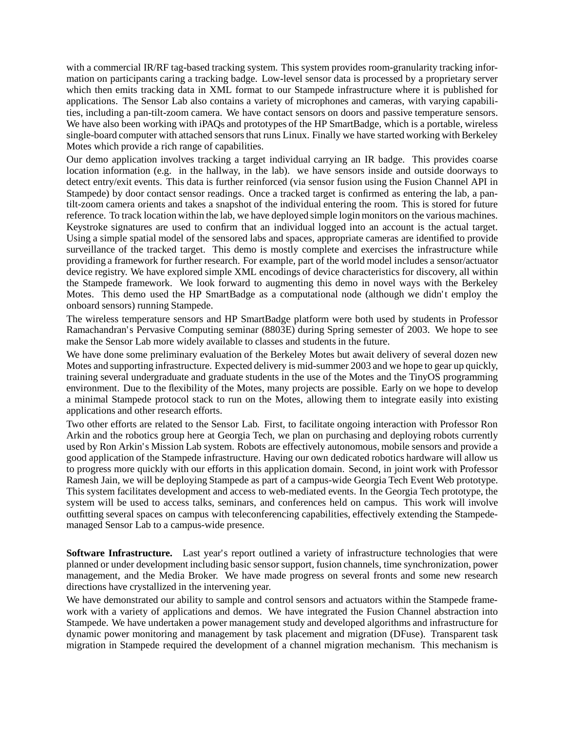with a commercial IR/RF tag-based tracking system. This system provides room-granularity tracking information on participants caring a tracking badge. Low-level sensor data is processed by a proprietary server which then emits tracking data in XML format to our Stampede infrastructure where it is published for applications. The Sensor Lab also contains a variety of microphones and cameras, with varying capabilities, including a pan-tilt-zoom camera. We have contact sensors on doors and passive temperature sensors. We have also been working with iPAQs and prototypes of the HP SmartBadge, which is a portable, wireless single-board computer with attached sensors that runs Linux. Finally we have started working with Berkeley Motes which provide a rich range of capabilities.

Our demo application involves tracking a target individual carrying an IR badge. This provides coarse location information (e.g. in the hallway, in the lab). we have sensors inside and outside doorways to detect entry/exit events. This data is further reinforced (via sensor fusion using the Fusion Channel API in Stampede) by door contact sensor readings. Once a tracked target is confirmed as entering the lab, a pantilt-zoom camera orients and takes a snapshot of the individual entering the room. This is stored for future reference. To track location within the lab, we have deployed simple login monitors on the various machines. Keystroke signatures are used to confirm that an individual logged into an account is the actual target. Using a simple spatial model of the sensored labs and spaces, appropriate cameras are identified to provide surveillance of the tracked target. This demo is mostly complete and exercises the infrastructure while providing a framework for further research. For example, part of the world model includes a sensor/actuator device registry. We have explored simple XML encodings of device characteristics for discovery, all within the Stampede framework. We look forward to augmenting this demo in novel ways with the Berkeley Motes. This demo used the HP SmartBadge as a computational node (although we didn't employ the onboard sensors) running Stampede.

The wireless temperature sensors and HP SmartBadge platform were both used by students in Professor Ramachandran's Pervasive Computing seminar (8803E) during Spring semester of 2003. We hope to see make the Sensor Lab more widely available to classes and students in the future.

We have done some preliminary evaluation of the Berkeley Motes but await delivery of several dozen new Motes and supporting infrastructure. Expected delivery is mid-summer 2003 and we hope to gear up quickly, training several undergraduate and graduate students in the use of the Motes and the TinyOS programming environment. Due to the flexibility of the Motes, many projects are possible. Early on we hope to develop a minimal Stampede protocol stack to run on the Motes, allowing them to integrate easily into existing applications and other research efforts.

Two other efforts are related to the Sensor Lab. First, to facilitate ongoing interaction with Professor Ron Arkin and the robotics group here at Georgia Tech, we plan on purchasing and deploying robots currently used by Ron Arkin's Mission Lab system. Robots are effectively autonomous, mobile sensors and provide a good application of the Stampede infrastructure. Having our own dedicated robotics hardware will allow us to progress more quickly with our efforts in this application domain. Second, in joint work with Professor Ramesh Jain, we will be deploying Stampede as part of a campus-wide Georgia Tech Event Web prototype. This system facilitates development and access to web-mediated events. In the Georgia Tech prototype, the system will be used to access talks, seminars, and conferences held on campus. This work will involve outfitting several spaces on campus with teleconferencing capabilities, effectively extending the Stampedemanaged Sensor Lab to a campus-wide presence.

**Software Infrastructure.** Last year's report outlined a variety of infrastructure technologies that were planned or under development including basic sensor support, fusion channels, time synchronization, power management, and the Media Broker. We have made progress on several fronts and some new research directions have crystallized in the intervening year.

We have demonstrated our ability to sample and control sensors and actuators within the Stampede framework with a variety of applications and demos. We have integrated the Fusion Channel abstraction into Stampede. We have undertaken a power management study and developed algorithms and infrastructure for dynamic power monitoring and management by task placement and migration (DFuse). Transparent task migration in Stampede required the development of a channel migration mechanism. This mechanism is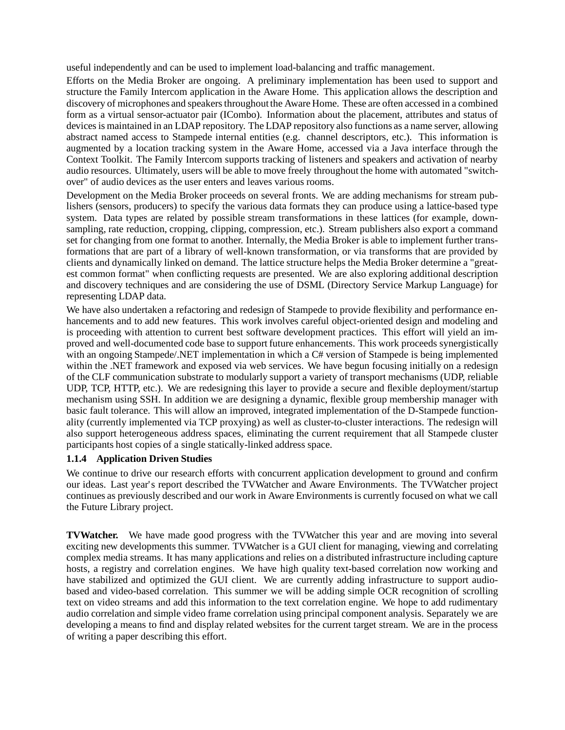useful independently and can be used to implement load-balancing and traffic management.

Efforts on the Media Broker are ongoing. A preliminary implementation has been used to support and structure the Family Intercom application in the Aware Home. This application allows the description and discovery of microphones and speakersthroughoutthe Aware Home. These are often accessed in a combined form as a virtual sensor-actuator pair (ICombo). Information about the placement, attributes and status of devices is maintained in an LDAP repository. The LDAP repository also functions as a name server, allowing abstract named access to Stampede internal entities (e.g. channel descriptors, etc.). This information is augmented by a location tracking system in the Aware Home, accessed via a Java interface through the Context Toolkit. The Family Intercom supports tracking of listeners and speakers and activation of nearby audio resources. Ultimately, users will be able to move freely throughout the home with automated "switchover" of audio devices as the user enters and leaves various rooms.

Development on the Media Broker proceeds on several fronts. We are adding mechanisms for stream publishers (sensors, producers) to specify the various data formats they can produce using a lattice-based type system. Data types are related by possible stream transformations in these lattices (for example, downsampling, rate reduction, cropping, clipping, compression, etc.). Stream publishers also export a command set for changing from one format to another. Internally, the Media Broker is able to implement further transformations that are part of a library of well-known transformation, or via transforms that are provided by clients and dynamically linked on demand. The lattice structure helps the Media Broker determine a "greatest common format" when conflicting requests are presented. We are also exploring additional description and discovery techniques and are considering the use of DSML (Directory Service Markup Language) for representing LDAP data.

We have also undertaken a refactoring and redesign of Stampede to provide flexibility and performance enhancements and to add new features. This work involves careful object-oriented design and modeling and is proceeding with attention to current best software development practices. This effort will yield an improved and well-documented code base to support future enhancements. This work proceeds synergistically with an ongoing Stampede/.NET implementation in which a C# version of Stampede is being implemented within the .NET framework and exposed via web services. We have begun focusing initially on a redesign of the CLF communication substrate to modularly support a variety of transport mechanisms (UDP, reliable UDP, TCP, HTTP, etc.). We are redesigning this layer to provide a secure and flexible deployment/startup mechanism using SSH. In addition we are designing a dynamic, flexible group membership manager with basic fault tolerance. This will allow an improved, integrated implementation of the D-Stampede functionality (currently implemented via TCP proxying) as well as cluster-to-cluster interactions. The redesign will also support heterogeneous address spaces, eliminating the current requirement that all Stampede cluster participants host copies of a single statically-linked address space.

#### **1.1.4 Application Driven Studies**

We continue to drive our research efforts with concurrent application development to ground and confirm our ideas. Last year's report described the TVWatcher and Aware Environments. The TVWatcher project continues as previously described and our work in Aware Environments is currently focused on what we call the Future Library project.

**TVWatcher.** We have made good progress with the TVWatcher this year and are moving into several exciting new developments this summer. TVWatcher is a GUI client for managing, viewing and correlating complex media streams. It has many applications and relies on a distributed infrastructure including capture hosts, a registry and correlation engines. We have high quality text-based correlation now working and have stabilized and optimized the GUI client. We are currently adding infrastructure to support audiobased and video-based correlation. This summer we will be adding simple OCR recognition of scrolling text on video streams and add this information to the text correlation engine. We hope to add rudimentary audio correlation and simple video frame correlation using principal component analysis. Separately we are developing a means to find and display related websites for the current target stream. We are in the process of writing a paper describing this effort.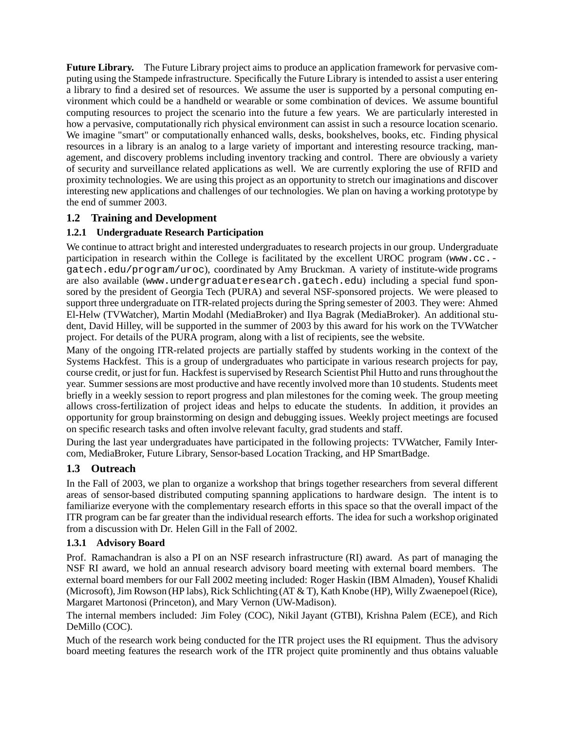**Future Library.** The Future Library project aims to produce an application framework for pervasive computing using the Stampede infrastructure. Specifically the Future Library is intended to assist a user entering a library to find a desired set of resources. We assume the user is supported by a personal computing environment which could be a handheld or wearable or some combination of devices. We assume bountiful computing resources to project the scenario into the future a few years. We are particularly interested in how a pervasive, computationally rich physical environment can assist in such a resource location scenario. We imagine "smart" or computationally enhanced walls, desks, bookshelves, books, etc. Finding physical resources in a library is an analog to a large variety of important and interesting resource tracking, management, and discovery problems including inventory tracking and control. There are obviously a variety of security and surveillance related applications as well. We are currently exploring the use of RFID and proximity technologies. We are using this project as an opportunity to stretch our imaginations and discover interesting new applications and challenges of our technologies. We plan on having a working prototype by the end of summer 2003.

### **1.2 Training and Development**

### **1.2.1 Undergraduate Research Participation**

We continue to attract bright and interested undergraduates to research projects in our group. Undergraduate participation in research within the College is facilitated by the excellent UROC program (www.cc.gatech.edu/program/uroc), coordinated by Amy Bruckman. A variety of institute-wide programs are also available (www.undergraduateresearch.gatech.edu) including a special fund sponsored by the president of Georgia Tech (PURA) and several NSF-sponsored projects. We were pleased to support three undergraduate on ITR-related projects during the Spring semester of 2003. They were: Ahmed El-Helw (TVWatcher), Martin Modahl (MediaBroker) and Ilya Bagrak (MediaBroker). An additional student, David Hilley, will be supported in the summer of 2003 by this award for his work on the TVWatcher project. For details of the PURA program, along with a list of recipients, see the website.

Many of the ongoing ITR-related projects are partially staffed by students working in the context of the Systems Hackfest. This is a group of undergraduates who participate in various research projects for pay, course credit, or just for fun. Hackfest is supervised by Research Scientist Phil Hutto and runs throughout the year. Summer sessions are most productive and have recently involved more than 10 students. Students meet briefly in a weekly session to report progress and plan milestones for the coming week. The group meeting allows cross-fertilization of project ideas and helps to educate the students. In addition, it provides an opportunity for group brainstorming on design and debugging issues. Weekly project meetings are focused on specific research tasks and often involve relevant faculty, grad students and staff.

During the last year undergraduates have participated in the following projects: TVWatcher, Family Intercom, MediaBroker, Future Library, Sensor-based Location Tracking, and HP SmartBadge.

### **1.3 Outreach**

In the Fall of 2003, we plan to organize a workshop that brings together researchers from several different areas of sensor-based distributed computing spanning applications to hardware design. The intent is to familiarize everyone with the complementary research efforts in this space so that the overall impact of the ITR program can be far greater than the individual research efforts. The idea for such a workshop originated from a discussion with Dr. Helen Gill in the Fall of 2002.

### **1.3.1 Advisory Board**

Prof. Ramachandran is also a PI on an NSF research infrastructure (RI) award. As part of managing the NSF RI award, we hold an annual research advisory board meeting with external board members. The external board members for our Fall 2002 meeting included: Roger Haskin (IBM Almaden), Yousef Khalidi (Microsoft), Jim Rowson (HP labs), Rick Schlichting (AT & T), Kath Knobe (HP), Willy Zwaenepoel(Rice), Margaret Martonosi (Princeton), and Mary Vernon (UW-Madison).

The internal members included: Jim Foley (COC), Nikil Jayant (GTBI), Krishna Palem (ECE), and Rich DeMillo (COC).

Much of the research work being conducted for the ITR project uses the RI equipment. Thus the advisory board meeting features the research work of the ITR project quite prominently and thus obtains valuable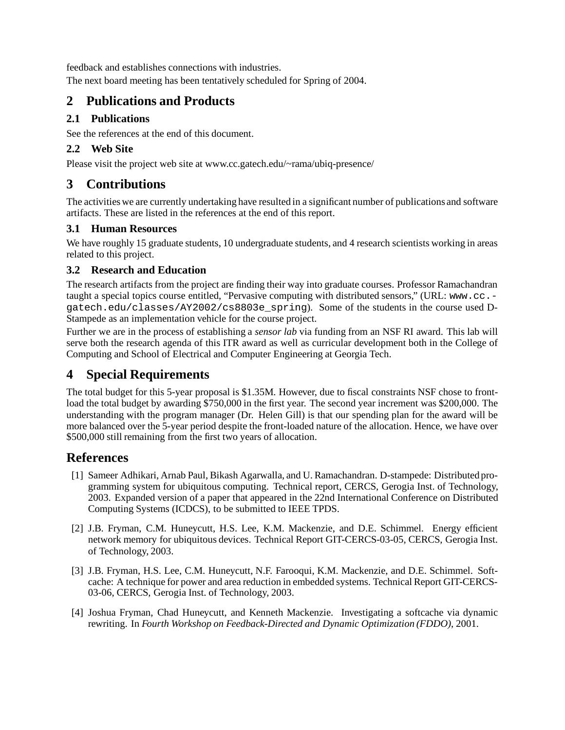feedback and establishes connections with industries.

The next board meeting has been tentatively scheduled for Spring of 2004.

# **2 Publications and Products**

### **2.1 Publications**

See the references at the end of this document.

### **2.2 Web Site**

Please visit the project web site at www.cc.gatech.edu/~rama/ubiq-presence/

# **3 Contributions**

The activitieswe are currently undertaking have resulted in a significant number of publications and software artifacts. These are listed in the references at the end of this report.

### **3.1 Human Resources**

We have roughly 15 graduate students, 10 undergraduate students, and 4 research scientists working in areas related to this project.

### **3.2 Research and Education**

The research artifacts from the project are finding their way into graduate courses. Professor Ramachandran taught a special topics course entitled, "Pervasive computing with distributed sensors," (URL: www.cc. gatech.edu/classes/AY2002/cs8803e\_spring). Some of the students in the course used D-Stampede as an implementation vehicle for the course project.

Further we are in the process of establishing a *sensor lab* via funding from an NSF RI award. This lab will serve both the research agenda of this ITR award as well as curricular development both in the College of Computing and School of Electrical and Computer Engineering at Georgia Tech.

# **4 Special Requirements**

The total budget for this 5-year proposal is \$1.35M. However, due to fiscal constraints NSF chose to frontload the total budget by awarding \$750,000 in the first year. The second year increment was \$200,000. The understanding with the program manager (Dr. Helen Gill) is that our spending plan for the award will be more balanced over the 5-year period despite the front-loaded nature of the allocation. Hence, we have over \$500,000 still remaining from the first two years of allocation.

# **References**

- [1] Sameer Adhikari, Arnab Paul, Bikash Agarwalla, and U. Ramachandran. D-stampede: Distributed programming system for ubiquitous computing. Technical report, CERCS, Gerogia Inst. of Technology, 2003. Expanded version of a paper that appeared in the 22nd International Conference on Distributed Computing Systems (ICDCS), to be submitted to IEEE TPDS.
- [2] J.B. Fryman, C.M. Huneycutt, H.S. Lee, K.M. Mackenzie, and D.E. Schimmel. Energy efficient network memory for ubiquitous devices. Technical Report GIT-CERCS-03-05, CERCS, Gerogia Inst. of Technology, 2003.
- [3] J.B. Fryman, H.S. Lee, C.M. Huneycutt, N.F. Farooqui, K.M. Mackenzie, and D.E. Schimmel. Softcache: A technique for power and area reduction in embedded systems. Technical Report GIT-CERCS-03-06, CERCS, Gerogia Inst. of Technology, 2003.
- [4] Joshua Fryman, Chad Huneycutt, and Kenneth Mackenzie. Investigating a softcache via dynamic rewriting. In *Fourth Workshop on Feedback-Directed and Dynamic Optimization (FDDO)*, 2001.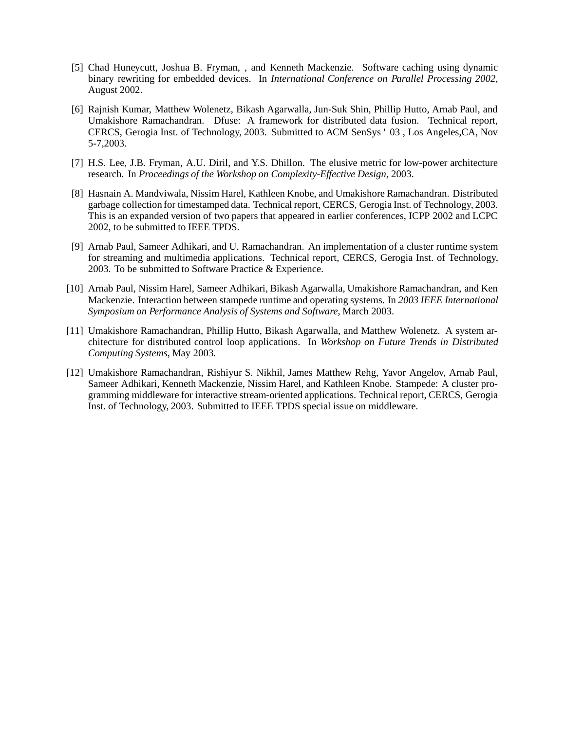- [5] Chad Huneycutt, Joshua B. Fryman, , and Kenneth Mackenzie. Software caching using dynamic binary rewriting for embedded devices. In *International Conference on Parallel Processing 2002*, August 2002.
- [6] Rajnish Kumar, Matthew Wolenetz, Bikash Agarwalla, Jun-Suk Shin, Phillip Hutto, Arnab Paul, and Umakishore Ramachandran. Dfuse: A framework for distributed data fusion. Technical report, CERCS, Gerogia Inst. of Technology, 2003. Submitted to ACM SenSys ' 03 , Los Angeles,CA, Nov 5-7,2003.
- [7] H.S. Lee, J.B. Fryman, A.U. Diril, and Y.S. Dhillon. The elusive metric for low-power architecture research. In *Proceedings of the Workshop on Complexity-Effective Design*, 2003.
- [8] Hasnain A. Mandviwala, Nissim Harel, Kathleen Knobe, and Umakishore Ramachandran. Distributed garbage collection for timestamped data. Technical report, CERCS, Gerogia Inst. of Technology, 2003. This is an expanded version of two papers that appeared in earlier conferences, ICPP 2002 and LCPC 2002, to be submitted to IEEE TPDS.
- [9] Arnab Paul, Sameer Adhikari, and U. Ramachandran. An implementation of a cluster runtime system for streaming and multimedia applications. Technical report, CERCS, Gerogia Inst. of Technology, 2003. To be submitted to Software Practice & Experience.
- [10] Arnab Paul, Nissim Harel, Sameer Adhikari, Bikash Agarwalla, Umakishore Ramachandran, and Ken Mackenzie. Interaction between stampede runtime and operating systems. In *2003 IEEE International Symposium on Performance Analysis of Systems and Software*, March 2003.
- [11] Umakishore Ramachandran, Phillip Hutto, Bikash Agarwalla, and Matthew Wolenetz. A system architecture for distributed control loop applications. In *Workshop on Future Trends in Distributed Computing Systems*, May 2003.
- [12] Umakishore Ramachandran, Rishiyur S. Nikhil, James Matthew Rehg, Yavor Angelov, Arnab Paul, Sameer Adhikari, Kenneth Mackenzie, Nissim Harel, and Kathleen Knobe. Stampede: A cluster programming middleware for interactive stream-oriented applications. Technical report, CERCS, Gerogia Inst. of Technology, 2003. Submitted to IEEE TPDS special issue on middleware.